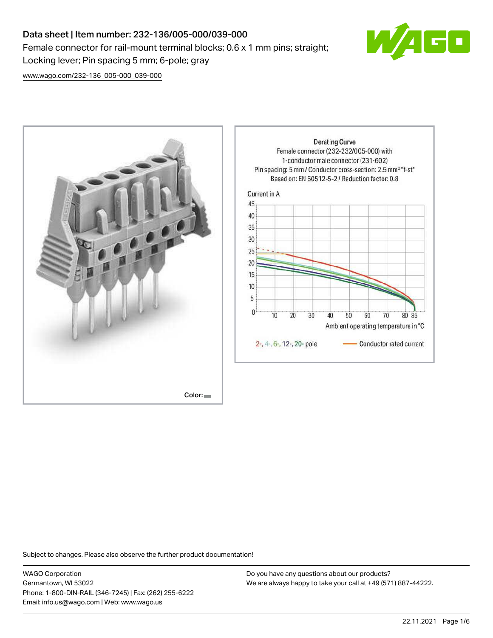# Data sheet | Item number: 232-136/005-000/039-000 Female connector for rail-mount terminal blocks; 0.6 x 1 mm pins; straight; Locking lever; Pin spacing 5 mm; 6-pole; gray



[www.wago.com/232-136\\_005-000\\_039-000](http://www.wago.com/232-136_005-000_039-000)



Subject to changes. Please also observe the further product documentation!

WAGO Corporation Germantown, WI 53022 Phone: 1-800-DIN-RAIL (346-7245) | Fax: (262) 255-6222 Email: info.us@wago.com | Web: www.wago.us

Do you have any questions about our products? We are always happy to take your call at +49 (571) 887-44222.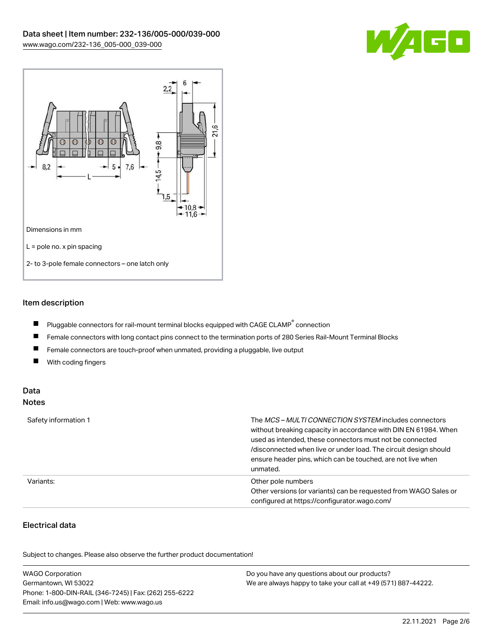



## Item description

- $\blacksquare$ Pluggable connectors for rail-mount terminal blocks equipped with CAGE CLAMP $^{\circ}$  connection
- $\blacksquare$ Female connectors with long contact pins connect to the termination ports of 280 Series Rail-Mount Terminal Blocks
- $\blacksquare$ Female connectors are touch-proof when unmated, providing a pluggable, live output
- $\blacksquare$ With coding fingers

#### Data Notes

| Safety information 1 | The <i>MCS – MULTI CONNECTION SYSTEM</i> includes connectors<br>without breaking capacity in accordance with DIN EN 61984. When<br>used as intended, these connectors must not be connected<br>/disconnected when live or under load. The circuit design should<br>ensure header pins, which can be touched, are not live when<br>unmated. |
|----------------------|--------------------------------------------------------------------------------------------------------------------------------------------------------------------------------------------------------------------------------------------------------------------------------------------------------------------------------------------|
| Variants:            | Other pole numbers<br>Other versions (or variants) can be requested from WAGO Sales or<br>configured at https://configurator.wago.com/                                                                                                                                                                                                     |

# Electrical data

.<br>Subject to changes. Please also observe the further product documentation!

| <b>WAGO Corporation</b>                                | Do you have any questions about our products?                 |
|--------------------------------------------------------|---------------------------------------------------------------|
| Germantown, WI 53022                                   | We are always happy to take your call at +49 (571) 887-44222. |
| Phone: 1-800-DIN-RAIL (346-7245)   Fax: (262) 255-6222 |                                                               |
| Email: info.us@wago.com   Web: www.wago.us             |                                                               |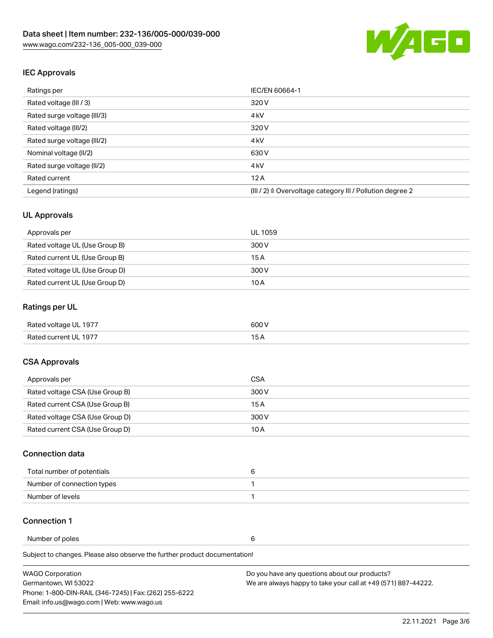

## IEC Approvals

| Ratings per                 | IEC/EN 60664-1                                                       |  |
|-----------------------------|----------------------------------------------------------------------|--|
| Rated voltage (III / 3)     | 320 V                                                                |  |
| Rated surge voltage (III/3) | 4 <sub>k</sub> V                                                     |  |
| Rated voltage (III/2)       | 320 V                                                                |  |
| Rated surge voltage (III/2) | 4 <sub>k</sub> V                                                     |  |
| Nominal voltage (II/2)      | 630 V                                                                |  |
| Rated surge voltage (II/2)  | 4 <sub>k</sub> V                                                     |  |
| Rated current               | 12A                                                                  |  |
| Legend (ratings)            | (III / 2) $\triangleq$ Overvoltage category III / Pollution degree 2 |  |

## UL Approvals

| Approvals per                  | UL 1059 |
|--------------------------------|---------|
| Rated voltage UL (Use Group B) | 300 V   |
| Rated current UL (Use Group B) | 15 A    |
| Rated voltage UL (Use Group D) | 300 V   |
| Rated current UL (Use Group D) | 10 A    |

## Ratings per UL

| Rated voltage UL 1977 | 600 V |
|-----------------------|-------|
| Rated current UL 1977 |       |

## CSA Approvals

| Approvals per                   | CSA   |
|---------------------------------|-------|
| Rated voltage CSA (Use Group B) | 300 V |
| Rated current CSA (Use Group B) | 15 A  |
| Rated voltage CSA (Use Group D) | 300 V |
| Rated current CSA (Use Group D) | 10 A  |

#### Connection data

| Total number of potentials |  |
|----------------------------|--|
| Number of connection types |  |
| Number of levels           |  |

#### Connection 1

Number of poles 6

Subject to changes. Please also observe the further product documentation!

| <b>WAGO Corporation</b>                                | Do you have any questions about our products?                 |
|--------------------------------------------------------|---------------------------------------------------------------|
| Germantown, WI 53022                                   | We are always happy to take your call at +49 (571) 887-44222. |
| Phone: 1-800-DIN-RAIL (346-7245)   Fax: (262) 255-6222 |                                                               |
| Email: info.us@wago.com   Web: www.wago.us             |                                                               |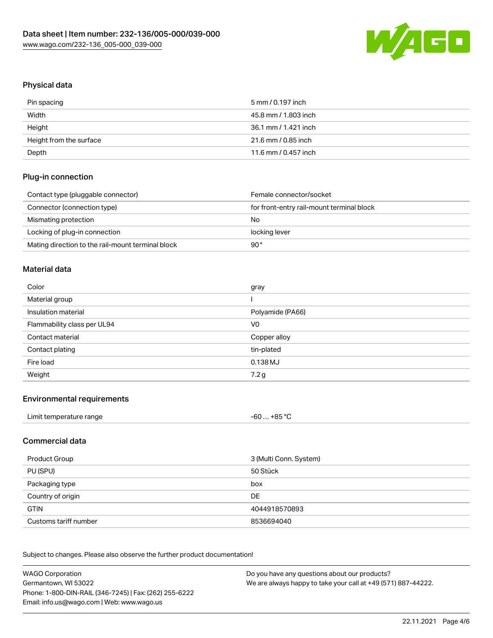

# Physical data

| Pin spacing             | 5 mm / 0.197 inch    |
|-------------------------|----------------------|
| Width                   | 45.8 mm / 1.803 inch |
| Height                  | 36.1 mm / 1.421 inch |
| Height from the surface | 21.6 mm / 0.85 inch  |
| Depth                   | 11.6 mm / 0.457 inch |

## Plug-in connection

| Contact type (pluggable connector)                | Female connector/socket                   |
|---------------------------------------------------|-------------------------------------------|
| Connector (connection type)                       | for front-entry rail-mount terminal block |
| Mismating protection                              | No                                        |
| Locking of plug-in connection                     | locking lever                             |
| Mating direction to the rail-mount terminal block | 90°                                       |

#### Material data

| Color                       | gray             |
|-----------------------------|------------------|
| Material group              |                  |
| Insulation material         | Polyamide (PA66) |
| Flammability class per UL94 | V <sub>0</sub>   |
|                             |                  |
| Contact material            | Copper alloy     |
| Contact plating             | tin-plated       |
| Fire load                   | 0.138 MJ         |

#### Environmental requirements

| Limit temperature range | $-60+85 °C$ |  |
|-------------------------|-------------|--|
|-------------------------|-------------|--|

### Commercial data

| Product Group         | 3 (Multi Conn. System) |
|-----------------------|------------------------|
| PU (SPU)              | 50 Stück               |
| Packaging type        | box                    |
| Country of origin     | DE                     |
| <b>GTIN</b>           | 4044918570893          |
| Customs tariff number | 8536694040             |

Subject to changes. Please also observe the further product documentation!

| <b>WAGO Corporation</b>                                | Do you have any questions about our products?                 |
|--------------------------------------------------------|---------------------------------------------------------------|
| Germantown, WI 53022                                   | We are always happy to take your call at +49 (571) 887-44222. |
| Phone: 1-800-DIN-RAIL (346-7245)   Fax: (262) 255-6222 |                                                               |
| Email: info.us@wago.com   Web: www.wago.us             |                                                               |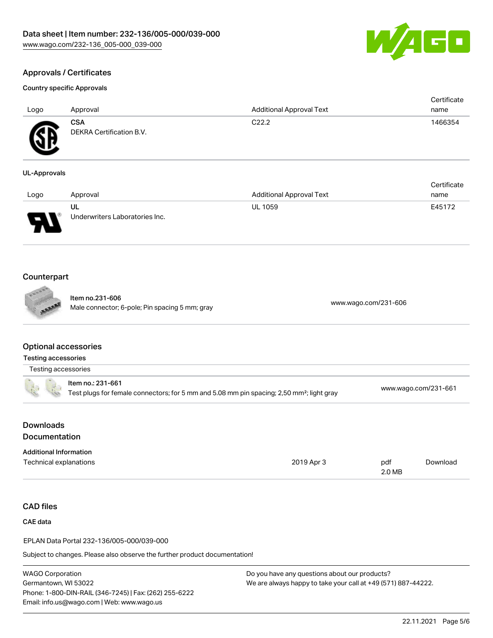

Certificate

# Approvals / Certificates

#### Country specific Approvals

| Logo             | Approval                                      | <b>Additional Approval Text</b> | Certificate<br>name |
|------------------|-----------------------------------------------|---------------------------------|---------------------|
| Æ<br>$\bf\omega$ | <b>CSA</b><br><b>DEKRA Certification B.V.</b> | C <sub>22.2</sub>               | 1466354             |

#### UL-Approvals

| Logo                          | Approval                             | <b>Additional Approval Text</b> | name   |
|-------------------------------|--------------------------------------|---------------------------------|--------|
| J<br>$\overline{\phantom{a}}$ | UL<br>Underwriters Laboratories Inc. | <b>UL 1059</b>                  | E45172 |

## Counterpart

Item no.231-606 nem 10.251-000<br>Male connector; 6-pole; Pin spacing 5 mm; gray [www.wago.com/231-606](https://www.wago.com/231-606)

#### Optional accessories

|  | Testing accessories                                                                                   |                      |
|--|-------------------------------------------------------------------------------------------------------|----------------------|
|  | ltem no.: 231-661                                                                                     |                      |
|  | Test plugs for female connectors; for 5 mm and 5.08 mm pin spacing; 2,50 mm <sup>2</sup> ; light gray | www.wago.com/231-661 |

| Downloads     |  |
|---------------|--|
| Documentation |  |

| <b>Additional Information</b> |            |        |          |
|-------------------------------|------------|--------|----------|
| Technical explanations        | 2019 Apr 3 | pdf    | Download |
|                               |            | 2.0 MB |          |

## CAD files

CAE data

EPLAN Data Portal 232-136/005-000/039-000

Subject to changes. Please also observe the further product documentation!

WAGO Corporation Germantown, WI 53022 Phone: 1-800-DIN-RAIL (346-7245) | Fax: (262) 255-6222 Email: info.us@wago.com | Web: www.wago.us

Do you have any questions about our products? We are always happy to take your call at +49 (571) 887-44222.